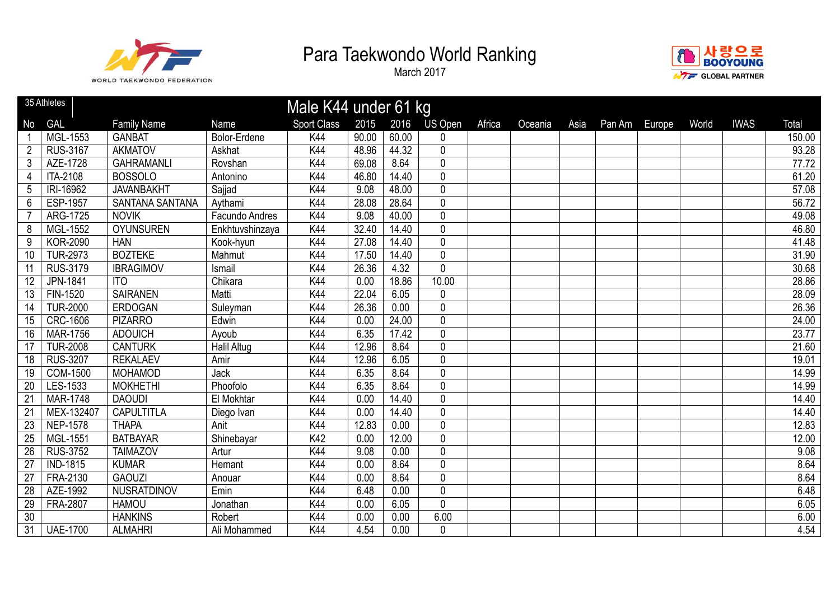



|                | 35 Athletes     |                        |                    | Male K44 under 61 kg |       |       |                |        |         |      |        |        |       |             |        |
|----------------|-----------------|------------------------|--------------------|----------------------|-------|-------|----------------|--------|---------|------|--------|--------|-------|-------------|--------|
| No             | <b>GAL</b>      | <b>Family Name</b>     | <b>Name</b>        | Sport Class          | 2015  | 2016  | <b>US Open</b> | Africa | Oceania | Asia | Pan Am | Europe | World | <b>IWAS</b> | Total  |
|                | MGL-1553        | <b>GANBAT</b>          | Bolor-Erdene       | K44                  | 90.00 | 60.00 | 0              |        |         |      |        |        |       |             | 150.00 |
| $\overline{2}$ | <b>RUS-3167</b> | <b>AKMATOV</b>         | Askhat             | K44                  | 48.96 | 44.32 | $\pmb{0}$      |        |         |      |        |        |       |             | 93.28  |
| $\mathfrak{Z}$ | AZE-1728        | <b>GAHRAMANLI</b>      | Rovshan            | K44                  | 69.08 | 8.64  | $\overline{0}$ |        |         |      |        |        |       |             | 77.72  |
| 4              | <b>ITA-2108</b> | <b>BOSSOLO</b>         | Antonino           | K44                  | 46.80 | 14.40 | $\mathbf 0$    |        |         |      |        |        |       |             | 61.20  |
| 5              | IRI-16962       | <b>JAVANBAKHT</b>      | Sajjad             | K44                  | 9.08  | 48.00 | $\pmb{0}$      |        |         |      |        |        |       |             | 57.08  |
| 6              | ESP-1957        | <b>SANTANA SANTANA</b> | Aythami            | K44                  | 28.08 | 28.64 | $\overline{0}$ |        |         |      |        |        |       |             | 56.72  |
| 7              | ARG-1725        | <b>NOVIK</b>           | Facundo Andres     | K44                  | 9.08  | 40.00 | $\pmb{0}$      |        |         |      |        |        |       |             | 49.08  |
| 8              | MGL-1552        | <b>OYUNSUREN</b>       | Enkhtuvshinzaya    | K44                  | 32.40 | 14.40 | $\pmb{0}$      |        |         |      |        |        |       |             | 46.80  |
| 9              | <b>KOR-2090</b> | <b>HAN</b>             | Kook-hyun          | K44                  | 27.08 | 14.40 | $\pmb{0}$      |        |         |      |        |        |       |             | 41.48  |
| 10             | <b>TUR-2973</b> | <b>BOZTEKE</b>         | Mahmut             | K44                  | 17.50 | 14.40 | $\pmb{0}$      |        |         |      |        |        |       |             | 31.90  |
| 11             | <b>RUS-3179</b> | <b>IBRAGIMOV</b>       | Ismail             | K44                  | 26.36 | 4.32  | $\mathbf 0$    |        |         |      |        |        |       |             | 30.68  |
| 12             | JPN-1841        | <b>ITO</b>             | Chikara            | K44                  | 0.00  | 18.86 | 10.00          |        |         |      |        |        |       |             | 28.86  |
| 13             | FIN-1520        | <b>SAIRANEN</b>        | Matti              | K44                  | 22.04 | 6.05  | $\mathbf 0$    |        |         |      |        |        |       |             | 28.09  |
| 14             | <b>TUR-2000</b> | <b>ERDOGAN</b>         | Suleyman           | K44                  | 26.36 | 0.00  | $\pmb{0}$      |        |         |      |        |        |       |             | 26.36  |
| 15             | <b>CRC-1606</b> | <b>PIZARRO</b>         | Edwin              | K44                  | 0.00  | 24.00 | $\mathbf 0$    |        |         |      |        |        |       |             | 24.00  |
| 16             | <b>MAR-1756</b> | <b>ADOUICH</b>         | Ayoub              | K44                  | 6.35  | 17.42 | $\pmb{0}$      |        |         |      |        |        |       |             | 23.77  |
| 17             | <b>TUR-2008</b> | <b>CANTURK</b>         | <b>Halil Altug</b> | K44                  | 12.96 | 8.64  | $\mathbf 0$    |        |         |      |        |        |       |             | 21.60  |
| 18             | <b>RUS-3207</b> | <b>REKALAEV</b>        | Amir               | K44                  | 12.96 | 6.05  | $\pmb{0}$      |        |         |      |        |        |       |             | 19.01  |
| 19             | COM-1500        | <b>MOHAMOD</b>         | Jack               | K44                  | 6.35  | 8.64  | $\mathbf 0$    |        |         |      |        |        |       |             | 14.99  |
| 20             | LES-1533        | <b>MOKHETHI</b>        | Phoofolo           | K44                  | 6.35  | 8.64  | $\pmb{0}$      |        |         |      |        |        |       |             | 14.99  |
| 21             | <b>MAR-1748</b> | <b>DAOUDI</b>          | El Mokhtar         | K44                  | 0.00  | 14.40 | $\mathbf 0$    |        |         |      |        |        |       |             | 14.40  |
| 21             | MEX-132407      | <b>CAPULTITLA</b>      | Diego Ivan         | K44                  | 0.00  | 14.40 | $\overline{0}$ |        |         |      |        |        |       |             | 14.40  |
| 23             | <b>NEP-1578</b> | <b>THAPA</b>           | Anit               | K44                  | 12.83 | 0.00  | $\mathbf 0$    |        |         |      |        |        |       |             | 12.83  |
| 25             | MGL-1551        | <b>BATBAYAR</b>        | Shinebayar         | K42                  | 0.00  | 12.00 | $\pmb{0}$      |        |         |      |        |        |       |             | 12.00  |
| 26             | <b>RUS-3752</b> | <b>TAIMAZOV</b>        | Artur              | K44                  | 9.08  | 0.00  | $\mathbf 0$    |        |         |      |        |        |       |             | 9.08   |
| 27             | <b>IND-1815</b> | <b>KUMAR</b>           | Hemant             | K44                  | 0.00  | 8.64  | $\overline{0}$ |        |         |      |        |        |       |             | 8.64   |
| 27             | FRA-2130        | <b>GAOUZI</b>          | Anouar             | K44                  | 0.00  | 8.64  | $\pmb{0}$      |        |         |      |        |        |       |             | 8.64   |
| 28             | AZE-1992        | <b>NUSRATDINOV</b>     | Emin               | K44                  | 6.48  | 0.00  | $\mathbf 0$    |        |         |      |        |        |       |             | 6.48   |
| 29             | FRA-2807        | <b>HAMOU</b>           | Jonathan           | K44                  | 0.00  | 6.05  | $\overline{0}$ |        |         |      |        |        |       |             | 6.05   |
| 30             |                 | <b>HANKINS</b>         | Robert             | K44                  | 0.00  | 0.00  | 6.00           |        |         |      |        |        |       |             | 6.00   |
| 31             | <b>UAE-1700</b> | <b>ALMAHRI</b>         | Ali Mohammed       | K44                  | 4.54  | 0.00  | $\mathbf 0$    |        |         |      |        |        |       |             | 4.54   |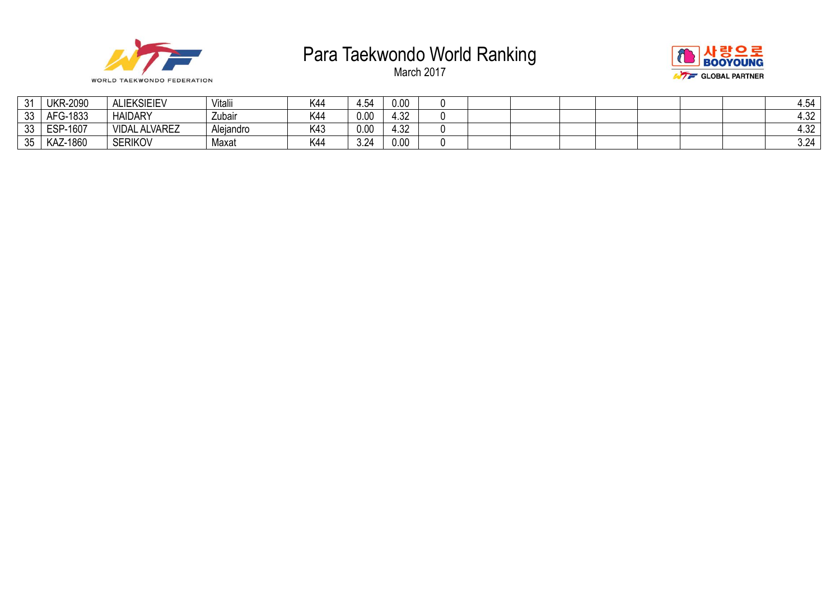



| $\mathcal{L}$<br>J | <b>UKR-2090</b> | <b>ALIEKSIEIEV</b>  | Vitalii   | K44 | 4.54 | 0.00 |  |  |  |  | 4.54 |
|--------------------|-----------------|---------------------|-----------|-----|------|------|--|--|--|--|------|
| 33                 | AFG-1833        | <b>HAIDARY</b>      | Zubair    | K44 | 0.00 | 4.32 |  |  |  |  | 4.32 |
| $\Omega$<br>აა     | ESP-1607        | . ALVAREZ<br>VIDAL, | Alejandro | K43 | 0.00 | 4.32 |  |  |  |  | 4.32 |
| 35                 | KAZ-1860        | <b>SERIKOV</b>      | Maxat     | K44 | 3.24 | 0.00 |  |  |  |  | 3.24 |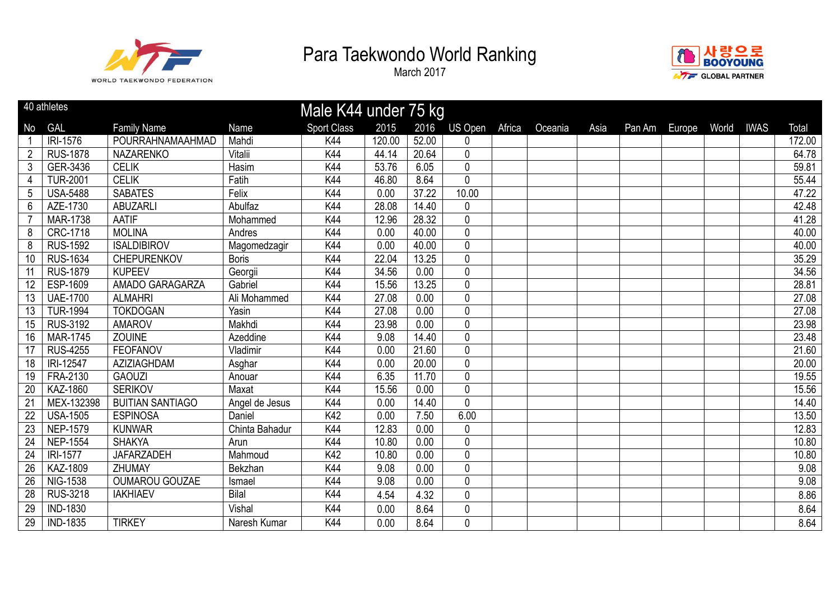



|                 | 40 athletes     |                         |                | Male K44 under 75 kg |        |       |                |        |         |      |        |        |       |             |        |
|-----------------|-----------------|-------------------------|----------------|----------------------|--------|-------|----------------|--------|---------|------|--------|--------|-------|-------------|--------|
| No              | <b>GAL</b>      | <b>Family Name</b>      | Name           | <b>Sport Class</b>   | 2015   | 2016  | <b>US Open</b> | Africa | Oceania | Asia | Pan Am | Europe | World | <b>IWAS</b> | Total  |
|                 | <b>IRI-1576</b> | POURRAHNAMAAHMAD        | Mahdi          | K44                  | 120.00 | 52.00 | $\mathbf 0$    |        |         |      |        |        |       |             | 172.00 |
| $\overline{2}$  | <b>RUS-1878</b> | <b>NAZARENKO</b>        | Vitalii        | K44                  | 44.14  | 20.64 | 0              |        |         |      |        |        |       |             | 64.78  |
| $\mathfrak{Z}$  | GER-3436        | <b>CELIK</b>            | Hasim          | K44                  | 53.76  | 6.05  | $\pmb{0}$      |        |         |      |        |        |       |             | 59.81  |
| 4               | <b>TUR-2001</b> | <b>CELIK</b>            | Fatih          | <b>K44</b>           | 46.80  | 8.64  | $\overline{0}$ |        |         |      |        |        |       |             | 55.44  |
| $\overline{5}$  | <b>USA-5488</b> | <b>SABATES</b>          | Felix          | K44                  | 0.00   | 37.22 | 10.00          |        |         |      |        |        |       |             | 47.22  |
| 6               | AZE-1730        | <b>ABUZARLI</b>         | Abulfaz        | K44                  | 28.08  | 14.40 | 0              |        |         |      |        |        |       |             | 42.48  |
|                 | <b>MAR-1738</b> | <b>AATIF</b>            | Mohammed       | K44                  | 12.96  | 28.32 | $\overline{0}$ |        |         |      |        |        |       |             | 41.28  |
| 8               | <b>CRC-1718</b> | <b>MOLINA</b>           | Andres         | K44                  | 0.00   | 40.00 | $\mathbf 0$    |        |         |      |        |        |       |             | 40.00  |
| 8               | <b>RUS-1592</b> | <b>ISALDIBIROV</b>      | Magomedzagir   | K44                  | 0.00   | 40.00 | $\pmb{0}$      |        |         |      |        |        |       |             | 40.00  |
| 10              | <b>RUS-1634</b> | <b>CHEPURENKOV</b>      | <b>Boris</b>   | K44                  | 22.04  | 13.25 | 0              |        |         |      |        |        |       |             | 35.29  |
| 11              | <b>RUS-1879</b> | <b>KUPEEV</b>           | Georgii        | K44                  | 34.56  | 0.00  | $\overline{0}$ |        |         |      |        |        |       |             | 34.56  |
| 12              | ESP-1609        | AMADO GARAGARZA         | Gabriel        | K44                  | 15.56  | 13.25 | $\mathbf 0$    |        |         |      |        |        |       |             | 28.81  |
| 13              | <b>UAE-1700</b> | <b>ALMAHRI</b>          | Ali Mohammed   | K44                  | 27.08  | 0.00  | $\overline{0}$ |        |         |      |        |        |       |             | 27.08  |
| 13              | <b>TUR-1994</b> | <b>TOKDOGAN</b>         | Yasin          | <b>K44</b>           | 27.08  | 0.00  | $\mathbf 0$    |        |         |      |        |        |       |             | 27.08  |
| 15              | <b>RUS-3192</b> | <b>AMAROV</b>           | Makhdi         | K44                  | 23.98  | 0.00  | $\mathbf 0$    |        |         |      |        |        |       |             | 23.98  |
| 16              | <b>MAR-1745</b> | <b>ZOUINE</b>           | Azeddine       | <b>K44</b>           | 9.08   | 14.40 | $\overline{0}$ |        |         |      |        |        |       |             | 23.48  |
| 17              | <b>RUS-4255</b> | <b>FEOFANOV</b>         | Vladimir       | K44                  | 0.00   | 21.60 | $\overline{0}$ |        |         |      |        |        |       |             | 21.60  |
| 18              | IRI-12547       | AZIZIAGHDAM             | Asghar         | K44                  | 0.00   | 20.00 | $\pmb{0}$      |        |         |      |        |        |       |             | 20.00  |
| 19              | <b>FRA-2130</b> | <b>GAOUZI</b>           | Anouar         | K44                  | 6.35   | 11.70 | $\overline{0}$ |        |         |      |        |        |       |             | 19.55  |
| 20              | KAZ-1860        | <b>SERIKOV</b>          | Maxat          | K44                  | 15.56  | 0.00  | $\mathbf 0$    |        |         |      |        |        |       |             | 15.56  |
| 21              | MEX-132398      | <b>BUITIAN SANTIAGO</b> | Angel de Jesus | K44                  | 0.00   | 14.40 | $\mathbf 0$    |        |         |      |        |        |       |             | 14.40  |
| $\overline{22}$ | <b>USA-1505</b> | <b>ESPINOSA</b>         | Daniel         | K42                  | 0.00   | 7.50  | 6.00           |        |         |      |        |        |       |             | 13.50  |
| 23              | <b>NEP-1579</b> | <b>KUNWAR</b>           | Chinta Bahadur | K44                  | 12.83  | 0.00  | $\mathbf 0$    |        |         |      |        |        |       |             | 12.83  |
| $\overline{24}$ | <b>NEP-1554</b> | <b>SHAKYA</b>           | Arun           | K44                  | 10.80  | 0.00  | $\overline{0}$ |        |         |      |        |        |       |             | 10.80  |
| $\overline{24}$ | <b>IRI-1577</b> | <b>JAFARZADEH</b>       | Mahmoud        | K42                  | 10.80  | 0.00  | $\mathbf 0$    |        |         |      |        |        |       |             | 10.80  |
| $\overline{26}$ | KAZ-1809        | <b>ZHUMAY</b>           | Bekzhan        | <b>K44</b>           | 9.08   | 0.00  | $\pmb{0}$      |        |         |      |        |        |       |             | 9.08   |
| 26              | <b>NIG-1538</b> | <b>OUMAROU GOUZAE</b>   | Ismael         | K44                  | 9.08   | 0.00  | $\mathbf 0$    |        |         |      |        |        |       |             | 9.08   |
| 28              | <b>RUS-3218</b> | <b>IAKHIAEV</b>         | <b>Bilal</b>   | <b>K44</b>           | 4.54   | 4.32  | $\mathbf 0$    |        |         |      |        |        |       |             | 8.86   |
| 29              | <b>IND-1830</b> |                         | Vishal         | K44                  | 0.00   | 8.64  | 0              |        |         |      |        |        |       |             | 8.64   |
| $\overline{29}$ | <b>IND-1835</b> | <b>TIRKEY</b>           | Naresh Kumar   | K44                  | 0.00   | 8.64  | 0              |        |         |      |        |        |       |             | 8.64   |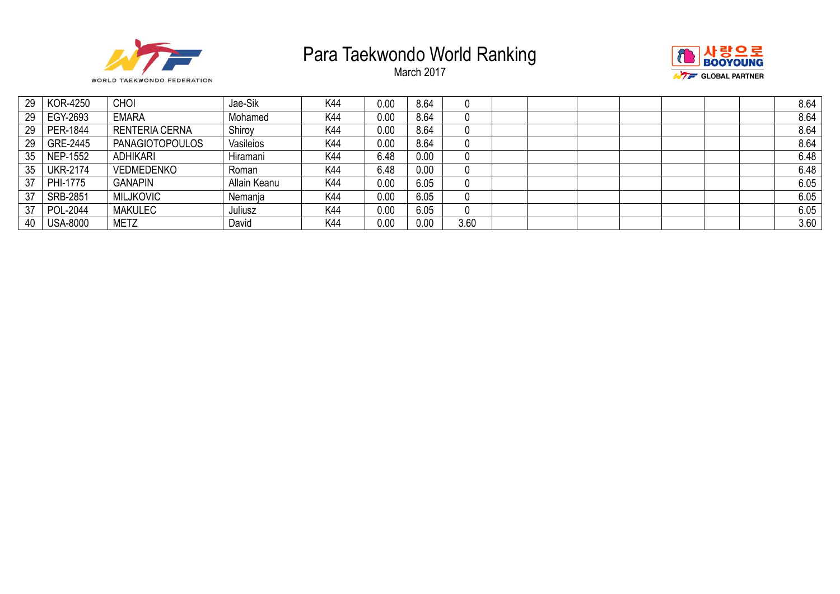





| 29 | <b>KOR-4250</b> | <b>CHOI</b>            | Jae-Sik      | K44 | 0.00 | 8.64 | υ    |  |  |  | 8.64 |
|----|-----------------|------------------------|--------------|-----|------|------|------|--|--|--|------|
| 29 | EGY-2693        | <b>EMARA</b>           | Mohamed      | K44 | 0.00 | 8.64 | 0    |  |  |  | 8.64 |
| 29 | PER-1844        | <b>RENTERIA CERNA</b>  | Shirov       | K44 | 0.00 | 8.64 | 0    |  |  |  | 8.64 |
| 29 | GRE-2445        | <b>PANAGIOTOPOULOS</b> | Vasileios    | K44 | 0.00 | 8.64 | 0    |  |  |  | 8.64 |
| 35 | <b>NEP-1552</b> | <b>ADHIKARI</b>        | Hiramani     | K44 | 6.48 | 0.00 | 0    |  |  |  | 6.48 |
| 35 | <b>UKR-2174</b> | <b>VEDMEDENKO</b>      | Roman        | K44 | 6.48 | 0.00 | 0    |  |  |  | 6.48 |
| 37 | PHI-1775        | <b>GANAPIN</b>         | Allain Keanu | K44 | 0.00 | 6.05 | 0    |  |  |  | 6.05 |
| 37 | SRB-2851        | <b>MILJKOVIC</b>       | Nemanja      | K44 | 0.00 | 6.05 | 0    |  |  |  | 6.05 |
| 37 | <b>POL-2044</b> | <b>MAKULEC</b>         | Juliusz      | K44 | 0.00 | 6.05 | 0    |  |  |  | 6.05 |
| 40 | <b>USA-8000</b> | <b>METZ</b>            | David        | K44 | 0.00 | 0.00 | 3.60 |  |  |  | 3.60 |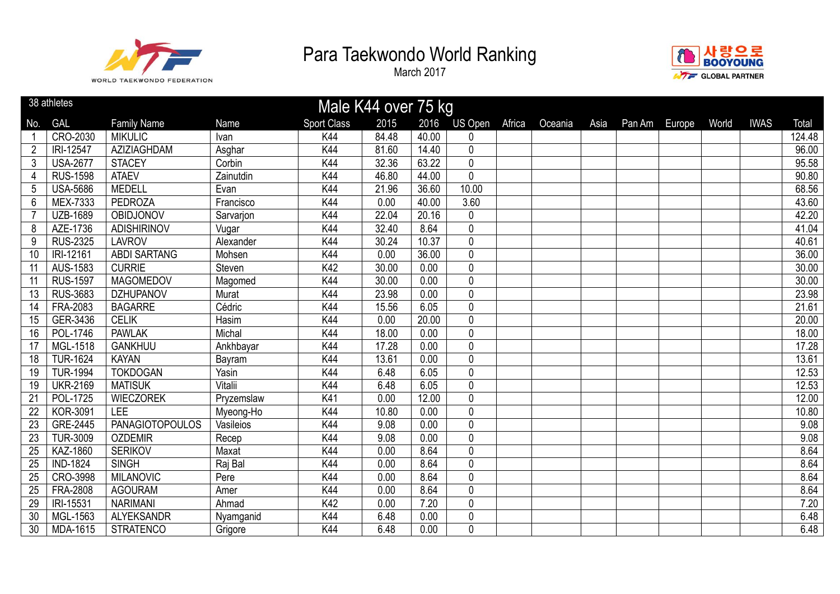



|                 | 38 athletes<br>Male K44 over 75 kg |                        |            |                    |       |       |                |        |         |      |        |        |       |             |        |
|-----------------|------------------------------------|------------------------|------------|--------------------|-------|-------|----------------|--------|---------|------|--------|--------|-------|-------------|--------|
| No.             | <b>GAL</b>                         | <b>Family Name</b>     | Name       | <b>Sport Class</b> | 2015  | 2016  | US Open        | Africa | Oceania | Asia | Pan Am | Europe | World | <b>IWAS</b> | Total  |
|                 | CRO-2030                           | <b>MIKULIC</b>         | Ivan       | K44                | 84.48 | 40.00 | 0              |        |         |      |        |        |       |             | 124.48 |
| $\overline{2}$  | IRI-12547                          | <b>AZIZIAGHDAM</b>     | Asghar     | K44                | 81.60 | 14.40 | $\overline{0}$ |        |         |      |        |        |       |             | 96.00  |
| 3               | <b>USA-2677</b>                    | <b>STACEY</b>          | Corbin     | K44                | 32.36 | 63.22 | $\overline{0}$ |        |         |      |        |        |       |             | 95.58  |
| $\overline{4}$  | <b>RUS-1598</b>                    | <b>ATAEV</b>           | Zainutdin  | K44                | 46.80 | 44.00 | $\overline{0}$ |        |         |      |        |        |       |             | 90.80  |
| 5               | <b>USA-5686</b>                    | <b>MEDELL</b>          | Evan       | K44                | 21.96 | 36.60 | 10.00          |        |         |      |        |        |       |             | 68.56  |
| $6\phantom{1}6$ | MEX-7333                           | <b>PEDROZA</b>         | Francisco  | K44                | 0.00  | 40.00 | 3.60           |        |         |      |        |        |       |             | 43.60  |
| $\overline{7}$  | <b>UZB-1689</b>                    | OBIDJONOV              | Sarvarjon  | K44                | 22.04 | 20.16 | $\pmb{0}$      |        |         |      |        |        |       |             | 42.20  |
| 8               | AZE-1736                           | <b>ADISHIRINOV</b>     | Vugar      | K44                | 32.40 | 8.64  | $\overline{0}$ |        |         |      |        |        |       |             | 41.04  |
| 9               | <b>RUS-2325</b>                    | <b>LAVROV</b>          | Alexander  | K44                | 30.24 | 10.37 | 0              |        |         |      |        |        |       |             | 40.61  |
| 10              | IRI-12161                          | <b>ABDI SARTANG</b>    | Mohsen     | K44                | 0.00  | 36.00 | 0              |        |         |      |        |        |       |             | 36.00  |
| 11              | AUS-1583                           | <b>CURRIE</b>          | Steven     | K42                | 30.00 | 0.00  | $\overline{0}$ |        |         |      |        |        |       |             | 30.00  |
| 11              | <b>RUS-1597</b>                    | <b>MAGOMEDOV</b>       | Magomed    | K44                | 30.00 | 0.00  | $\overline{0}$ |        |         |      |        |        |       |             | 30.00  |
| 13              | <b>RUS-3683</b>                    | <b>DZHUPANOV</b>       | Murat      | K44                | 23.98 | 0.00  | $\overline{0}$ |        |         |      |        |        |       |             | 23.98  |
| 14              | <b>FRA-2083</b>                    | <b>BAGARRE</b>         | Cédric     | K44                | 15.56 | 6.05  | $\overline{0}$ |        |         |      |        |        |       |             | 21.61  |
| 15              | GER-3436                           | <b>CELIK</b>           | Hasim      | K44                | 0.00  | 20.00 | $\mathbf 0$    |        |         |      |        |        |       |             | 20.00  |
| 16              | POL-1746                           | <b>PAWLAK</b>          | Michal     | K44                | 18.00 | 0.00  | $\mathbf 0$    |        |         |      |        |        |       |             | 18.00  |
| 17              | <b>MGL-1518</b>                    | <b>GANKHUU</b>         | Ankhbayar  | K44                | 17.28 | 0.00  | $\overline{0}$ |        |         |      |        |        |       |             | 17.28  |
| 18              | <b>TUR-1624</b>                    | <b>KAYAN</b>           | Bayram     | K44                | 13.61 | 0.00  | 0              |        |         |      |        |        |       |             | 13.61  |
| 19              | <b>TUR-1994</b>                    | <b>TOKDOGAN</b>        | Yasin      | K44                | 6.48  | 6.05  | 0              |        |         |      |        |        |       |             | 12.53  |
| 19              | <b>UKR-2169</b>                    | <b>MATISUK</b>         | Vitalii    | K44                | 6.48  | 6.05  | $\overline{0}$ |        |         |      |        |        |       |             | 12.53  |
| 21              | POL-1725                           | <b>WIECZOREK</b>       | Pryzemslaw | K41                | 0.00  | 12.00 | $\overline{0}$ |        |         |      |        |        |       |             | 12.00  |
| 22              | <b>KOR-3091</b>                    | <b>LEE</b>             | Myeong-Ho  | K44                | 10.80 | 0.00  | $\overline{0}$ |        |         |      |        |        |       |             | 10.80  |
| 23              | GRE-2445                           | <b>PANAGIOTOPOULOS</b> | Vasileios  | K44                | 9.08  | 0.00  | $\overline{0}$ |        |         |      |        |        |       |             | 9.08   |
| 23              | <b>TUR-3009</b>                    | <b>OZDEMIR</b>         | Recep      | K44                | 9.08  | 0.00  | $\pmb{0}$      |        |         |      |        |        |       |             | 9.08   |
| 25              | <b>KAZ-1860</b>                    | <b>SERIKOV</b>         | Maxat      | K44                | 0.00  | 8.64  | $\overline{0}$ |        |         |      |        |        |       |             | 8.64   |
| 25              | <b>IND-1824</b>                    | <b>SINGH</b>           | Raj Bal    | K44                | 0.00  | 8.64  | $\overline{0}$ |        |         |      |        |        |       |             | 8.64   |
| 25              | CRO-3998                           | <b>MILANOVIC</b>       | Pere       | K44                | 0.00  | 8.64  | $\overline{0}$ |        |         |      |        |        |       |             | 8.64   |
| 25              | <b>FRA-2808</b>                    | <b>AGOURAM</b>         | Amer       | K44                | 0.00  | 8.64  | 0              |        |         |      |        |        |       |             | 8.64   |
| 29              | IRI-15531                          | <b>NARIMANI</b>        | Ahmad      | K42                | 0.00  | 7.20  | 0              |        |         |      |        |        |       |             | 7.20   |
| 30              | MGL-1563                           | <b>ALYEKSANDR</b>      | Nyamganid  | K44                | 6.48  | 0.00  | $\pmb{0}$      |        |         |      |        |        |       |             | 6.48   |
| 30              | MDA-1615                           | <b>STRATENCO</b>       | Grigore    | K44                | 6.48  | 0.00  | $\overline{0}$ |        |         |      |        |        |       |             | 6.48   |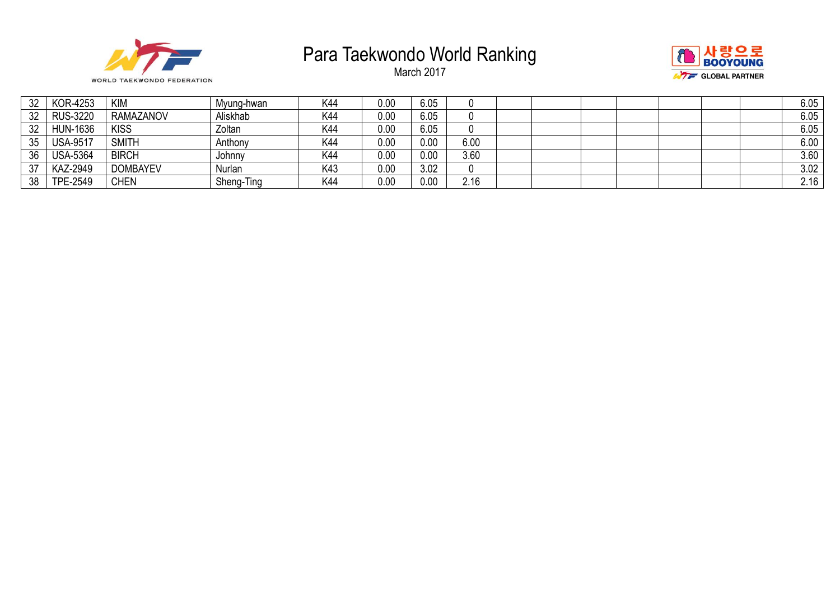





| 32 | KOR-4253        | <b>KIM</b>       | Mvung-hwan | K44 | 0.00 | 6.05 | U    |  |  |  | 6.05 |
|----|-----------------|------------------|------------|-----|------|------|------|--|--|--|------|
| 32 | <b>RUS-3220</b> | <b>RAMAZANOV</b> | Aliskhab   | K44 | 0.00 | 6.05 | 0    |  |  |  | 6.05 |
| 32 | <b>HUN-1636</b> | <b>KISS</b>      | Zoltan     | K44 | 0.00 | 6.05 | U    |  |  |  | 6.05 |
| 35 | <b>USA-9517</b> | <b>SMITH</b>     | Anthony    | K44 | 0.00 | 0.00 | 6.00 |  |  |  | 6.00 |
| 36 | <b>USA-5364</b> | <b>BIRCH</b>     | Johnny     | K44 | 0.00 | 0.00 | 3.60 |  |  |  | 3.60 |
| 37 | KAZ-2949        | <b>DOMBAYEV</b>  | Nurlan     | K43 | 0.00 | 3.02 | 0    |  |  |  | 3.02 |
| 38 | TPE-2549        | CHEN             | Sheng-Ting | K44 | 0.00 | 0.00 | 2.16 |  |  |  | 2.16 |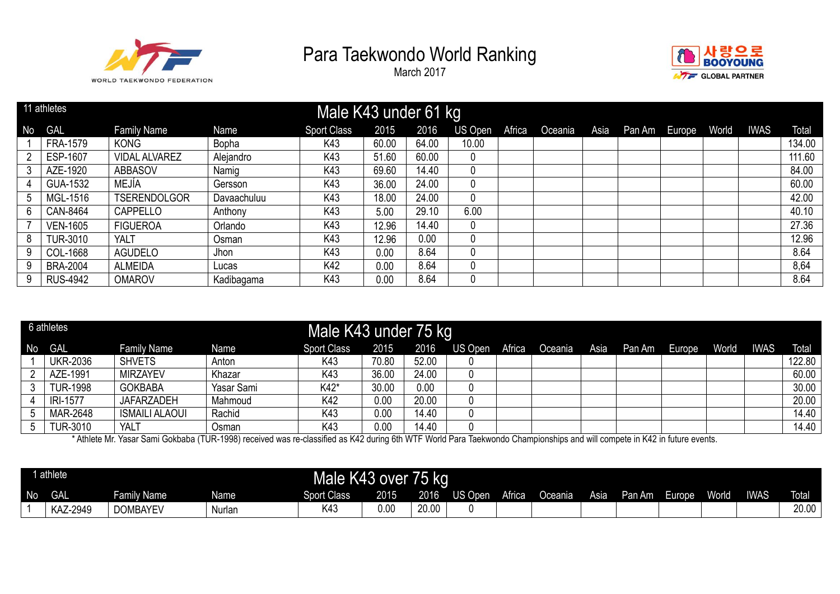

March 2017



|    | 11 athletes     |                      |             | Male K43 under 61 kg |       |       |         |        |         |      |        |        |       |             |        |
|----|-----------------|----------------------|-------------|----------------------|-------|-------|---------|--------|---------|------|--------|--------|-------|-------------|--------|
| No | <b>GAL</b>      | <b>Family Name</b>   | Name        | <b>Sport Class</b>   | 2015  | 2016  | US Open | Africa | Oceania | Asia | Pan Am | Europe | World | <b>IWAS</b> | Total  |
|    | FRA-1579        | <b>KONG</b>          | Bopha       | K43                  | 60.00 | 64.00 | 10.00   |        |         |      |        |        |       |             | 134.00 |
|    | ESP-1607        | <b>VIDAL ALVAREZ</b> | Alejandro   | K43                  | 51.60 | 60.00 | 0       |        |         |      |        |        |       |             | 111.60 |
|    | AZE-1920        | <b>ABBASOV</b>       | Namig       | K43                  | 69.60 | 14.40 | 0       |        |         |      |        |        |       |             | 84.00  |
|    | GUA-1532        | MEJÍA                | Gersson     | K43                  | 36.00 | 24.00 | 0       |        |         |      |        |        |       |             | 60.00  |
|    | MGL-1516        | <b>TSERENDOLGOR</b>  | Davaachuluu | K43                  | 18.00 | 24.00 | 0       |        |         |      |        |        |       |             | 42.00  |
| 6. | CAN-8464        | CAPPELLO             | Anthony     | K43                  | 5.00  | 29.10 | 6.00    |        |         |      |        |        |       |             | 40.10  |
|    | <b>VEN-1605</b> | <b>FIGUEROA</b>      | Orlando     | K43                  | 12.96 | 14.40 | 0       |        |         |      |        |        |       |             | 27.36  |
| 8  | <b>TUR-3010</b> | <b>YALT</b>          | Osman       | K43                  | 12.96 | 0.00  | 0       |        |         |      |        |        |       |             | 12.96  |
| 9  | COL-1668        | AGUDELO              | Jhon.       | K43                  | 0.00  | 8.64  | 0       |        |         |      |        |        |       |             | 8.64   |
| 9  | <b>BRA-2004</b> | <b>ALMEIDA</b>       | Lucas       | K42                  | 0.00  | 8.64  | 0       |        |         |      |        |        |       |             | 8,64   |
| 9  | <b>RUS-4942</b> | <b>OMAROV</b>        | Kadibagama  | K43                  | 0.00  | 8.64  | 0       |        |         |      |        |        |       |             | 8.64   |

|    | 6 athletes                      |                       |              | Male K43 under 75 kg |                  |                          |          |               |               |      |        |        |       |             |        |
|----|---------------------------------|-----------------------|--------------|----------------------|------------------|--------------------------|----------|---------------|---------------|------|--------|--------|-------|-------------|--------|
| No | <b>GAL</b>                      | <b>Family Name</b>    | Name         | <b>Sport Class</b>   | 2015             | 2016                     | US Open  | Africa        | Oceania       | Asia | Pan Am | Europe | World | <b>IWAS</b> | Total  |
|    | <b>UKR-2036</b>                 | <b>SHVETS</b>         | Anton        | K43                  | 70.80            | 52.00                    |          |               |               |      |        |        |       |             | 122.80 |
| 2  | AZE-1991                        | <b>MIRZAYEV</b>       | Khazar       | K43                  | 36.00            | 24.00                    | 0        |               |               |      |        |        |       |             | 60.00  |
|    | <b>TUR-1998</b>                 | <b>GOKBABA</b>        | Yasar Sami   | K42*                 | 30.00            | 0.00                     | 0        |               |               |      |        |        |       |             | 30.00  |
|    | <b>IRI-1577</b>                 | <b>JAFARZADEH</b>     | Mahmoud      | K42                  | 0.00             | 20.00                    | 0        |               |               |      |        |        |       |             | 20.00  |
|    | MAR-2648                        | <b>ISMAILI ALAOUI</b> | Rachid       | K43                  | 0.00             | 14.40                    | 0        |               |               |      |        |        |       |             | 14.40  |
|    | <b>TUR-3010</b><br>. <i>. .</i> | YALT                  | Osman<br>(1) | K43<br>$\sim$        | 0.00<br>$\cdots$ | 14.40<br>2.1.14777111177 | 0<br>$-$ | $\sim$ $\sim$ | $\sim$ $\sim$ |      |        |        |       |             | 14.40  |

\* Athlete Mr. Yasar Sami Gokbaba (TUR-1998) received was re-classified as K42 during 6th WTF World Para Taekwondo Championships and will compete in K42 in future events.

|    | athlete    |                         |        | Male K43 over      |      | 75 kg |         |        |         |      |        |        |       |             |              |
|----|------------|-------------------------|--------|--------------------|------|-------|---------|--------|---------|------|--------|--------|-------|-------------|--------------|
| No | <b>GAL</b> | illy Name<br><b>Fam</b> | Name   | <b>Sport Class</b> | 2015 | 2016  | US Open | Africa | Oceania | Asia | Pan Am | Europe | World | <b>IWAS</b> | <b>Total</b> |
|    | KAZ-2949   | <b>DOMBAYEV</b>         | Nurlan | K4:                | 0.00 | 20.00 |         |        |         |      |        |        |       |             | 20.00        |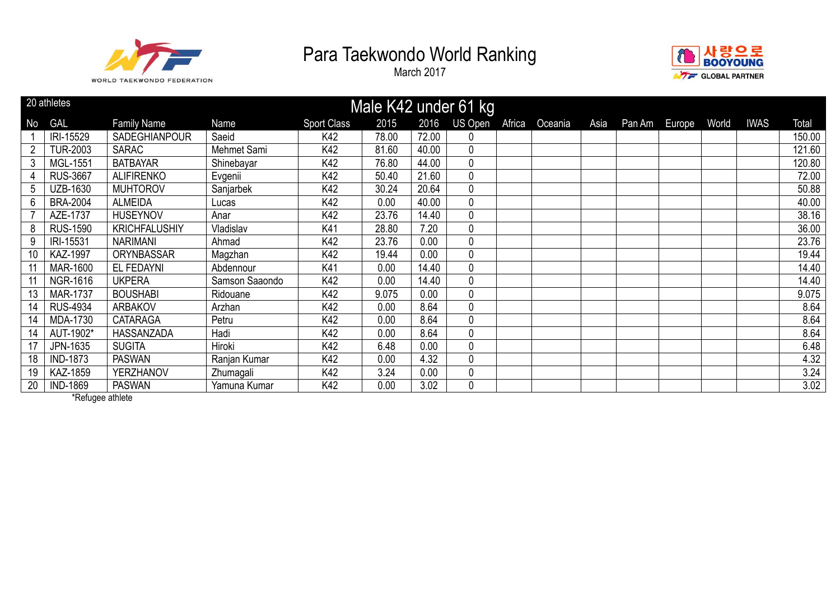

March 2017



|                | 20 athletes     |                      |                |                    |       |       | Male K42 under 61 kg |        |         |      |               |       |             |        |
|----------------|-----------------|----------------------|----------------|--------------------|-------|-------|----------------------|--------|---------|------|---------------|-------|-------------|--------|
| No             | <b>GAL</b>      | <b>Family Name</b>   | <b>Name</b>    | <b>Sport Class</b> | 2015  | 2016  | US Open              | Africa | Oceania | Asia | Pan Am Europe | World | <b>IWAS</b> | Total  |
|                | IRI-15529       | SADEGHIANPOUR        | Saeid          | K42                | 78.00 | 72.00 | 0                    |        |         |      |               |       |             | 150.00 |
| $\overline{2}$ | <b>TUR-2003</b> | <b>SARAC</b>         | Mehmet Sami    | K42                | 81.60 | 40.00 | 0                    |        |         |      |               |       |             | 121.60 |
| 3              | MGL-1551        | <b>BATBAYAR</b>      | Shinebayar     | K42                | 76.80 | 44.00 | 0                    |        |         |      |               |       |             | 120.80 |
| 4              | <b>RUS-3667</b> | <b>ALIFIRENKO</b>    | Evgenii        | K42                | 50.40 | 21.60 | 0                    |        |         |      |               |       |             | 72.00  |
| 5              | UZB-1630        | <b>MUHTOROV</b>      | Sanjarbek      | K42                | 30.24 | 20.64 | 0                    |        |         |      |               |       |             | 50.88  |
| 6              | <b>BRA-2004</b> | <b>ALMEIDA</b>       | Lucas          | K42                | 0.00  | 40.00 | 0                    |        |         |      |               |       |             | 40.00  |
|                | AZE-1737        | <b>HUSEYNOV</b>      | Anar           | K42                | 23.76 | 14.40 | 0                    |        |         |      |               |       |             | 38.16  |
| 8              | <b>RUS-1590</b> | <b>KRICHFALUSHIY</b> | Vladislav      | K41                | 28.80 | 7.20  | 0                    |        |         |      |               |       |             | 36.00  |
| 9              | IRI-15531       | <b>NARIMANI</b>      | Ahmad          | K42                | 23.76 | 0.00  | 0                    |        |         |      |               |       |             | 23.76  |
| 10             | <b>KAZ-1997</b> | ORYNBASSAR           | Magzhan        | K42                | 19.44 | 0.00  | 0                    |        |         |      |               |       |             | 19.44  |
|                | <b>MAR-1600</b> | EL FEDAYNI           | Abdennour      | K41                | 0.00  | 14.40 | 0                    |        |         |      |               |       |             | 14.40  |
|                | NGR-1616        | <b>UKPERA</b>        | Samson Saaondo | K42                | 0.00  | 14.40 | 0                    |        |         |      |               |       |             | 14.40  |
| 13             | <b>MAR-1737</b> | <b>BOUSHABI</b>      | Ridouane       | K42                | 9.075 | 0.00  | 0                    |        |         |      |               |       |             | 9.075  |
| 14             | <b>RUS-4934</b> | <b>ARBAKOV</b>       | Arzhan         | K42                | 0.00  | 8.64  | 0                    |        |         |      |               |       |             | 8.64   |
| 14             | MDA-1730        | <b>CATARAGA</b>      | Petru          | K42                | 0.00  | 8.64  | 0                    |        |         |      |               |       |             | 8.64   |
| 14             | AUT-1902*       | HASSANZADA           | Hadi           | K42                | 0.00  | 8.64  | 0                    |        |         |      |               |       |             | 8.64   |
| 17             | JPN-1635        | <b>SUGITA</b>        | Hiroki         | K42                | 6.48  | 0.00  | 0                    |        |         |      |               |       |             | 6.48   |
| 18             | <b>IND-1873</b> | <b>PASWAN</b>        | Ranjan Kumar   | K42                | 0.00  | 4.32  | 0                    |        |         |      |               |       |             | 4.32   |
| 19             | KAZ-1859        | <b>YERZHANOV</b>     | Zhumagali      | K42                | 3.24  | 0.00  | 0                    |        |         |      |               |       |             | 3.24   |
| 20             | <b>IND-1869</b> | <b>PASWAN</b>        | Yamuna Kumar   | K42                | 0.00  | 3.02  | 0                    |        |         |      |               |       |             | 3.02   |

\*Refugee athlete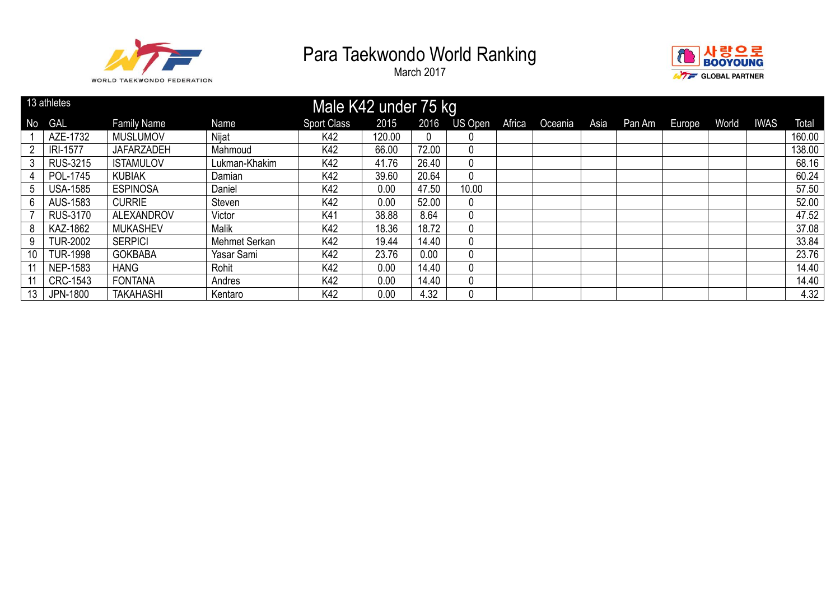



|    | 13 athletes     |                    |               | Male K42 under 75 kg |        |       |                |        |         |      |        |        |       |             |        |
|----|-----------------|--------------------|---------------|----------------------|--------|-------|----------------|--------|---------|------|--------|--------|-------|-------------|--------|
| No | GAL             | <b>Family Name</b> | Name          | <b>Sport Class</b>   | 2015   | 2016  | <b>US Open</b> | Africa | Oceania | Asia | Pan Am | Europe | World | <b>IWAS</b> | Total  |
|    | AZE-1732        | <b>MUSLUMOV</b>    | Nijat         | K42                  | 120.00 | 0     |                |        |         |      |        |        |       |             | 160.00 |
| 2  | <b>IRI-1577</b> | <b>JAFARZADEH</b>  | Mahmoud       | K42                  | 66.00  | 72.00 | 0              |        |         |      |        |        |       |             | 138.00 |
| 3  | <b>RUS-3215</b> | <b>ISTAMULOV</b>   | Lukman-Khakim | K42                  | 41.76  | 26.40 | $\overline{0}$ |        |         |      |        |        |       |             | 68.16  |
|    | POL-1745        | <b>KUBIAK</b>      | Damian        | K42                  | 39.60  | 20.64 | 0              |        |         |      |        |        |       |             | 60.24  |
| 5  | <b>USA-1585</b> | <b>ESPINOSA</b>    | Daniel        | K42                  | 0.00   | 47.50 | 10.00          |        |         |      |        |        |       |             | 57.50  |
| 6  | AUS-1583        | <b>CURRIE</b>      | Steven        | K42                  | 0.00   | 52.00 | 0              |        |         |      |        |        |       |             | 52.00  |
|    | <b>RUS-3170</b> | <b>ALEXANDROV</b>  | Victor        | K41                  | 38.88  | 8.64  | $\overline{0}$ |        |         |      |        |        |       |             | 47.52  |
| 8  | KAZ-1862        | <b>MUKASHEV</b>    | <b>Malik</b>  | K42                  | 18.36  | 18.72 | 0              |        |         |      |        |        |       |             | 37.08  |
| 9  | <b>TUR-2002</b> | <b>SERPICI</b>     | Mehmet Serkan | K42                  | 19.44  | 14.40 | 0              |        |         |      |        |        |       |             | 33.84  |
| 10 | <b>TUR-1998</b> | <b>GOKBABA</b>     | Yasar Sami    | K42                  | 23.76  | 0.00  | 0              |        |         |      |        |        |       |             | 23.76  |
|    | <b>NEP-1583</b> | <b>HANG</b>        | Rohit         | K42                  | 0.00   | 14.40 | 0              |        |         |      |        |        |       |             | 14.40  |
|    | CRC-1543        | <b>FONTANA</b>     | Andres        | K42                  | 0.00   | 14.40 | 0              |        |         |      |        |        |       |             | 14.40  |
| 13 | JPN-1800        | <b>TAKAHASHI</b>   | Kentaro       | K42                  | 0.00   | 4.32  | 0              |        |         |      |        |        |       |             | 4.32   |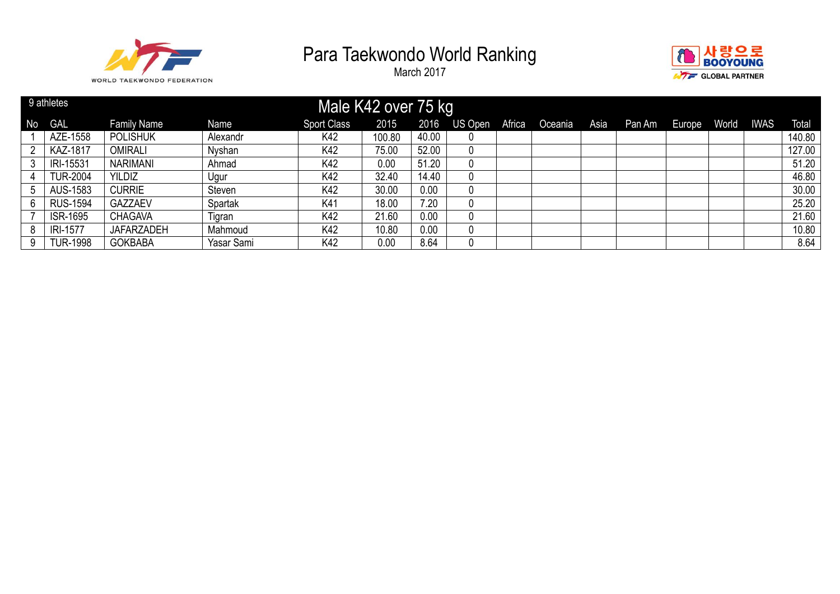



|           | 9 athletes      |                    |            | Male K42 over 75 kg |        |       |         |        |         |      |        |        |       |             |        |
|-----------|-----------------|--------------------|------------|---------------------|--------|-------|---------|--------|---------|------|--------|--------|-------|-------------|--------|
| <b>No</b> | <b>GAL</b>      | <b>Family Name</b> | Name       | <b>Sport Class</b>  | 2015   | 2016  | US Open | Africa | Oceania | Asia | Pan Am | Europe | World | <b>IWAS</b> | Total  |
|           | AZE-1558        | <b>POLISHUK</b>    | Alexandr   | K42                 | 100.80 | 40.00 | 0       |        |         |      |        |        |       |             | 140.80 |
| ົ         | KAZ-1817        | OMIRALI            | Nyshan     | K42                 | 75.00  | 52.00 | 0       |        |         |      |        |        |       |             | 127.00 |
| 3         | IRI-15531       | <b>NARIMANI</b>    | Ahmad      | K42                 | 0.00   | 51.20 | 0       |        |         |      |        |        |       |             | 51.20  |
|           | <b>TUR-2004</b> | <b>YILDIZ</b>      | Ugur       | K42                 | 32.40  | 14.40 | 0       |        |         |      |        |        |       |             | 46.80  |
|           | AUS-1583        | <b>CURRIE</b>      | Steven     | K42                 | 30.00  | 0.00  | 0       |        |         |      |        |        |       |             | 30.00  |
| 6.        | <b>RUS-1594</b> | <b>GAZZAEV</b>     | Spartak    | K41                 | 18.00  | 7.20  | 0       |        |         |      |        |        |       |             | 25.20  |
|           | <b>ISR-1695</b> | <b>CHAGAVA</b>     | Tigran     | K42                 | 21.60  | 0.00  | 0       |        |         |      |        |        |       |             | 21.60  |
| 8         | <b>IRI-1577</b> | <b>JAFARZADEH</b>  | Mahmoud    | K42                 | 10.80  | 0.00  | 0       |        |         |      |        |        |       |             | 10.80  |
| 9         | <b>TUR-1998</b> | <b>GOKBABA</b>     | Yasar Sami | K42                 | 0.00   | 8.64  | 0       |        |         |      |        |        |       |             | 8.64   |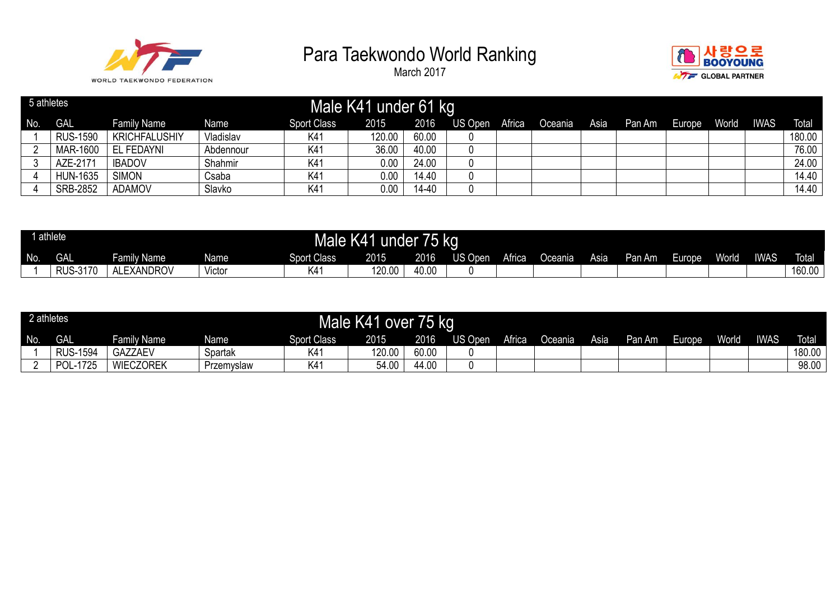



| 5 athletes |                 |                      |           |                    | Male K41 under 61 kg |       |         |        |         |      |        |        |       |             |              |
|------------|-----------------|----------------------|-----------|--------------------|----------------------|-------|---------|--------|---------|------|--------|--------|-------|-------------|--------------|
| No.        | <b>GAL</b>      | Family Name          | Name      | <b>Sport Class</b> | 2015                 | 2016  | US Open | Africa | Oceania | Asia | Pan Am | Europe | World | <b>IWAS</b> | <b>Total</b> |
|            | <b>RUS-1590</b> | <b>KRICHFALUSHIY</b> | Vladislav | K41                | 120.00               | 60.00 |         |        |         |      |        |        |       |             | 180.00       |
|            | MAR-1600        | EL FEDAYNI           | Abdennour | K41                | 36.00                | 40.00 |         |        |         |      |        |        |       |             | 76.00        |
|            | AZE-2171        | <b>IBADOV</b>        | Shahmir   | K41                | 0.00                 | 24.00 |         |        |         |      |        |        |       |             | 24.00        |
|            | <b>HUN-1635</b> | <b>SIMON</b>         | Csaba     | K4 <sup>-</sup>    | 0.00                 | 14.40 |         |        |         |      |        |        |       |             | 14.40        |
|            | SRB-2852        | <b>ADAMOV</b>        | Slavko    | K41                | 0.00                 | 14-40 |         |        |         |      |        |        |       |             | 14.40        |

|     | athlete                                   |                                                |        | Male K41            | under         | I O   | kg                |        |           |      |        |        |              |             |              |
|-----|-------------------------------------------|------------------------------------------------|--------|---------------------|---------------|-------|-------------------|--------|-----------|------|--------|--------|--------------|-------------|--------------|
| No. | GAL                                       | Family Name                                    | Namel  | <b>Sport Class</b>  | 2015<br>כו ט∠ | 2016  | )pen<br><b>טע</b> | Africa | Oceania - | Asia | Pan Am | Europe | <b>World</b> | <b>IWAS</b> | <b>Total</b> |
|     | <sub>، ا</sub> 3-3ا <sup>ו ר</sup><br>171 | <b>_xANDROV</b><br>$\sim$ $\sim$ $\sim$ $\sim$ | Victor | $\langle 4 \rangle$ | 120.0         | 40.00 |                   |        |           |      |        |        |              |             | 160.00       |

|     | 2 athletes      |                    |             |                    | Male K41 over 75 kg |       |         |        |           |      |        |        |       |             |              |
|-----|-----------------|--------------------|-------------|--------------------|---------------------|-------|---------|--------|-----------|------|--------|--------|-------|-------------|--------------|
| No. | <b>GAL</b>      | <b>Family Name</b> | <b>Name</b> | <b>Sport Class</b> | 2015                | 2016  | US Open | Africa | Oceania l | Asia | Pan Am | Europe | World | <b>IWAS</b> | <b>Total</b> |
|     | <b>RUS-1594</b> | <b>GAZZAEV</b>     | Spartak     | K41                | 120.00              | 60.00 |         |        |           |      |        |        |       |             | 180.00       |
|     | POL-1725        | <b>WIECZOREK</b>   | Przemyslaw  | K41                | 54.00               | 44.00 |         |        |           |      |        |        |       |             | 98.00        |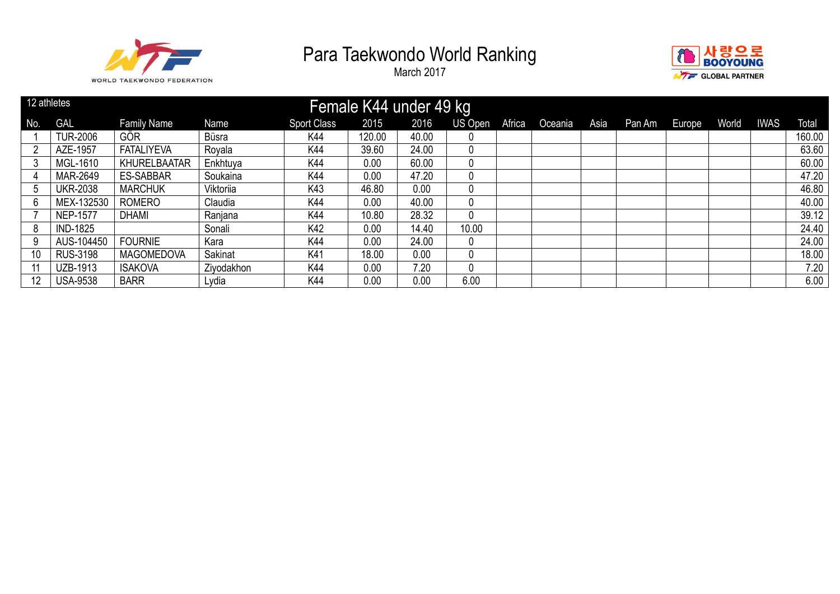



| 12 athletes |                 |                     |            |                    | Female K44 under 49 kg |       |         |               |         |      |        |        |       |             |        |
|-------------|-----------------|---------------------|------------|--------------------|------------------------|-------|---------|---------------|---------|------|--------|--------|-------|-------------|--------|
| No.         | <b>GAL</b>      | <b>Family Name</b>  | Name       | <b>Sport Class</b> | 2015                   | 2016  | US Open | <b>Africa</b> | Oceania | Asia | Pan Am | Europe | World | <b>IWAS</b> | Total  |
|             | <b>TUR-2006</b> | <b>GOR</b>          | Büsra      | K44                | 120.00                 | 40.00 |         |               |         |      |        |        |       |             | 160.00 |
| റ           | AZE-1957        | <b>FATALIYEVA</b>   | Royala     | K44                | 39.60                  | 24.00 |         |               |         |      |        |        |       |             | 63.60  |
| 3           | MGL-1610        | <b>KHURELBAATAR</b> | Enkhtuya   | K44                | 0.00                   | 60.00 |         |               |         |      |        |        |       |             | 60.00  |
|             | MAR-2649        | <b>ES-SABBAR</b>    | Soukaina   | K44                | 0.00                   | 47.20 |         |               |         |      |        |        |       |             | 47.20  |
|             | <b>UKR-2038</b> | <b>MARCHUK</b>      | Viktoriia  | K43                | 46.80                  | 0.00  |         |               |         |      |        |        |       |             | 46.80  |
| b           | MEX-132530      | <b>ROMERO</b>       | Claudia    | K44                | 0.00                   | 40.00 |         |               |         |      |        |        |       |             | 40.00  |
|             | <b>NEP-1577</b> | <b>DHAMI</b>        | Ranjana    | K44                | 10.80                  | 28.32 |         |               |         |      |        |        |       |             | 39.12  |
| 8           | <b>IND-1825</b> |                     | Sonali     | K42                | 0.00                   | 14.40 | 10.00   |               |         |      |        |        |       |             | 24.40  |
| 9           | AUS-104450      | <b>FOURNIE</b>      | Kara       | K44                | 0.00                   | 24.00 |         |               |         |      |        |        |       |             | 24.00  |
| 10          | <b>RUS-3198</b> | <b>MAGOMEDOVA</b>   | Sakinat    | K41                | 18.00                  | 0.00  |         |               |         |      |        |        |       |             | 18.00  |
|             | UZB-1913        | <b>ISAKOVA</b>      | Ziyodakhon | K44                | 0.00                   | 7.20  |         |               |         |      |        |        |       |             | 7.20   |
| 12          | <b>USA-9538</b> | <b>BARR</b>         | Lydia      | K44                | 0.00                   | 0.00  | 6.00    |               |         |      |        |        |       |             | 6.00   |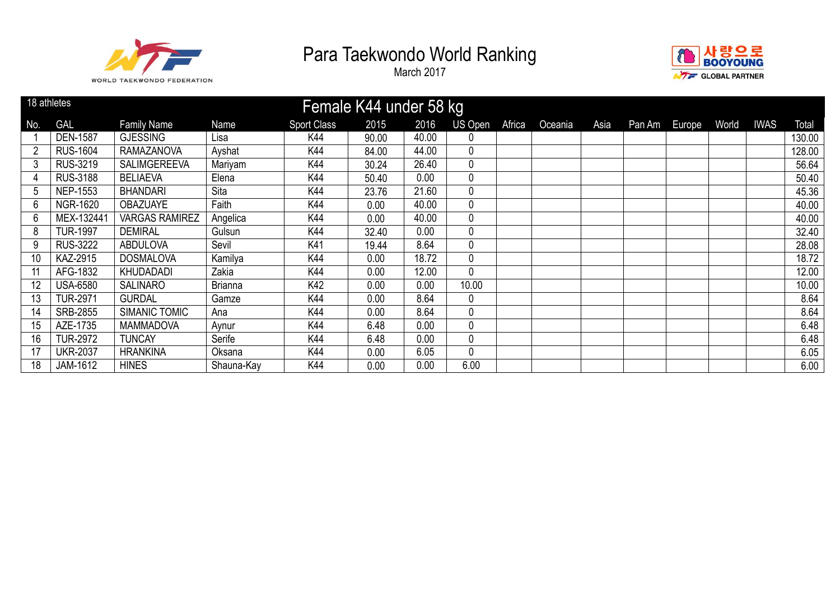



| 18 athletes    |                 |                       |                |                    | Female K44 under 58 kg |       |         |        |         |      |        |        |       |             |        |
|----------------|-----------------|-----------------------|----------------|--------------------|------------------------|-------|---------|--------|---------|------|--------|--------|-------|-------------|--------|
| No.            | <b>GAL</b>      | <b>Family Name</b>    | Name           | <b>Sport Class</b> | 2015                   | 2016  | US Open | Africa | Oceania | Asia | Pan Am | Europe | World | <b>IWAS</b> | Total  |
|                | <b>DEN-1587</b> | <b>GJESSING</b>       | Lisa           | K44                | 90.00                  | 40.00 | 0       |        |         |      |        |        |       |             | 130.00 |
| $\overline{2}$ | <b>RUS-1604</b> | <b>RAMAZANOVA</b>     | Ayshat         | K44                | 84.00                  | 44.00 | 0       |        |         |      |        |        |       |             | 128.00 |
| 3              | RUS-3219        | <b>SALIMGEREEVA</b>   | Mariyam        | K44                | 30.24                  | 26.40 | 0       |        |         |      |        |        |       |             | 56.64  |
| 4              | <b>RUS-3188</b> | <b>BELIAEVA</b>       | Elena          | K44                | 50.40                  | 0.00  | 0       |        |         |      |        |        |       |             | 50.40  |
| 5              | <b>NEP-1553</b> | <b>BHANDARI</b>       | Sita           | K44                | 23.76                  | 21.60 | 0       |        |         |      |        |        |       |             | 45.36  |
| 6              | <b>NGR-1620</b> | <b>OBAZUAYE</b>       | Faith          | K44                | 0.00                   | 40.00 | 0       |        |         |      |        |        |       |             | 40.00  |
| 6              | MEX-13244       | <b>VARGAS RAMIREZ</b> | Angelica       | K44                | 0.00                   | 40.00 | 0       |        |         |      |        |        |       |             | 40.00  |
| 8              | <b>TUR-1997</b> | <b>DEMIRAL</b>        | Gulsun         | K44                | 32.40                  | 0.00  | 0       |        |         |      |        |        |       |             | 32.40  |
| 9              | <b>RUS-3222</b> | <b>ABDULOVA</b>       | Sevil          | K41                | 19.44                  | 8.64  | 0       |        |         |      |        |        |       |             | 28.08  |
| 10             | KAZ-2915        | <b>DOSMALOVA</b>      | Kamilya        | K44                | 0.00                   | 18.72 | 0       |        |         |      |        |        |       |             | 18.72  |
|                | AFG-1832        | KHUDADADI             | Zakia          | K44                | 0.00                   | 12.00 | 0       |        |         |      |        |        |       |             | 12.00  |
| 12             | <b>USA-6580</b> | <b>SALINARO</b>       | <b>Brianna</b> | K42                | 0.00                   | 0.00  | 10.00   |        |         |      |        |        |       |             | 10.00  |
| 13             | <b>TUR-2971</b> | <b>GURDAL</b>         | Gamze          | K44                | 0.00                   | 8.64  | 0       |        |         |      |        |        |       |             | 8.64   |
| 14             | <b>SRB-2855</b> | SIMANIC TOMIC         | Ana            | K44                | 0.00                   | 8.64  | 0       |        |         |      |        |        |       |             | 8.64   |
| 15             | AZE-1735        | <b>MAMMADOVA</b>      | Aynur          | K44                | 6.48                   | 0.00  | 0       |        |         |      |        |        |       |             | 6.48   |
| 16             | <b>TUR-2972</b> | <b>TUNCAY</b>         | Serife         | K44                | 6.48                   | 0.00  | 0       |        |         |      |        |        |       |             | 6.48   |
| 17             | <b>UKR-2037</b> | <b>HRANKINA</b>       | Oksana         | K44                | 0.00                   | 6.05  | 0       |        |         |      |        |        |       |             | 6.05   |
| 18             | JAM-1612        | <b>HINES</b>          | Shauna-Kay     | K44                | 0.00                   | 0.00  | 6.00    |        |         |      |        |        |       |             | 6.00   |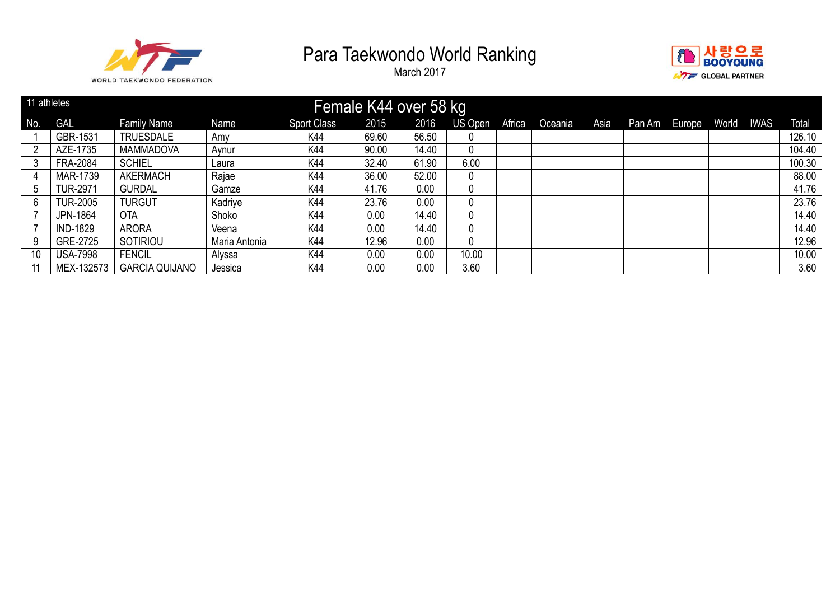



|     | 11 athletes     |                       |               |                    | Female K44 over 58 kg |       |         |        |         |      |        |        |       |      |        |
|-----|-----------------|-----------------------|---------------|--------------------|-----------------------|-------|---------|--------|---------|------|--------|--------|-------|------|--------|
| No. | <b>GAL</b>      | <b>Family Name</b>    | Name          | <b>Sport Class</b> | 2015                  | 2016  | US Open | Africa | Oceania | Asia | Pan Am | Europe | World | IWAS | Total  |
|     | GBR-1531        | <b>TRUESDALE</b>      | Amy           | K44                | 69.60                 | 56.50 | 0       |        |         |      |        |        |       |      | 126.10 |
|     | AZE-1735        | <b>MAMMADOVA</b>      | Aynur         | K44                | 90.00                 | 14.40 | 0       |        |         |      |        |        |       |      | 104.40 |
|     | <b>FRA-2084</b> | <b>SCHIEL</b>         | Laura         | K44                | 32.40                 | 61.90 | 6.00    |        |         |      |        |        |       |      | 100.30 |
| 4   | MAR-1739        | <b>AKERMACH</b>       | Rajae         | K44                | 36.00                 | 52.00 | 0       |        |         |      |        |        |       |      | 88.00  |
|     | <b>TUR-2971</b> | <b>GURDAL</b>         | Gamze         | K44                | 41.76                 | 0.00  | 0       |        |         |      |        |        |       |      | 41.76  |
| 6   | <b>TUR-2005</b> | <b>TURGUT</b>         | Kadriye       | K44                | 23.76                 | 0.00  | 0       |        |         |      |        |        |       |      | 23.76  |
|     | <b>JPN-1864</b> | <b>OTA</b>            | Shoko         | K44                | 0.00                  | 14.40 | 0       |        |         |      |        |        |       |      | 14.40  |
|     | <b>IND-1829</b> | <b>ARORA</b>          | Veena         | K44                | 0.00                  | 14.40 | 0       |        |         |      |        |        |       |      | 14.40  |
| 9   | GRE-2725        | SOTIRIOU              | Maria Antonia | K44                | 12.96                 | 0.00  | 0       |        |         |      |        |        |       |      | 12.96  |
| 10  | <b>USA-7998</b> | <b>FENCIL</b>         | Alyssa        | K44                | 0.00                  | 0.00  | 10.00   |        |         |      |        |        |       |      | 10.00  |
|     | MEX-132573      | <b>GARCIA QUIJANO</b> | Jessica       | K44                | 0.00                  | 0.00  | 3.60    |        |         |      |        |        |       |      | 3.60   |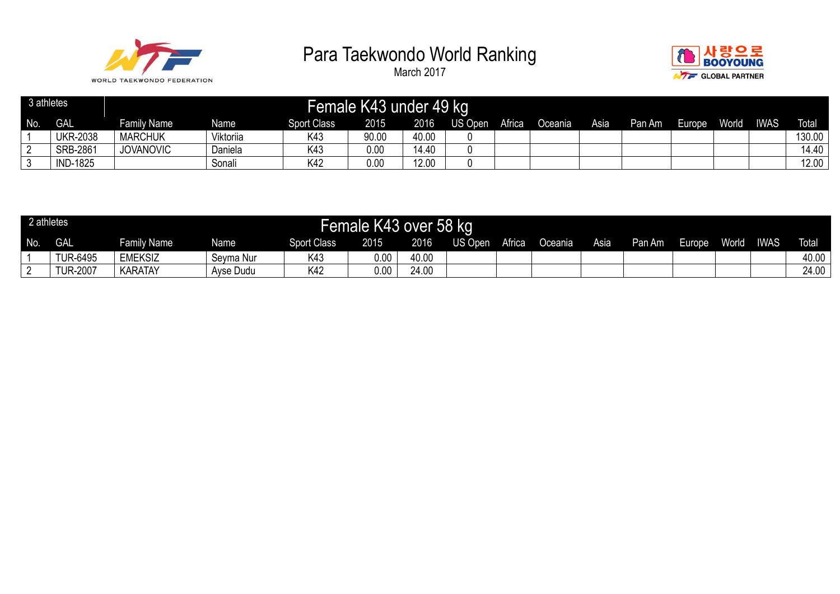



| 3 athletes |                 |                    |           |                    | Female K43 under 49 kg |       |         |               |                |      |        |        |       |             |              |
|------------|-----------------|--------------------|-----------|--------------------|------------------------|-------|---------|---------------|----------------|------|--------|--------|-------|-------------|--------------|
| No.        | <b>GAL</b>      | <b>Family Name</b> | Name      | <b>Sport Class</b> | 2015                   | 2016  | US Open | <b>Africa</b> | <b>Oceania</b> | Asia | Pan Am | Europe | World | <b>IWAS</b> | <b>Total</b> |
|            | <b>UKR-2038</b> | <b>MARCHUK</b>     | Viktoriia | K43                | 90.00                  | 40.00 |         |               |                |      |        |        |       |             | 130.00       |
|            | <b>SRB-2861</b> | <b>JOVANOVIC</b>   | Daniela   | K43                | 0.00                   | 14.40 |         |               |                |      |        |        |       |             | 14.40        |
|            | <b>IND-1825</b> |                    | Sonali    | K42                | 0.00                   | 12.00 |         |               |                |      |        |        |       |             | 12.00        |

|     | 2 athletes      |                |           |                    | Female K43 over 58 kg |       |         |        |                |      |        |        |       |             |              |
|-----|-----------------|----------------|-----------|--------------------|-----------------------|-------|---------|--------|----------------|------|--------|--------|-------|-------------|--------------|
| No. | <b>GAL</b>      | Family Name    | Name      | <b>Sport Class</b> | 2015                  | 2016  | US Open | Africa | <b>Oceania</b> | Asia | Pan Am | Europe | World | <b>IWAS</b> | <b>Total</b> |
|     | <b>TUR-6495</b> | <b>EMEKSIZ</b> | Seyma Nur | K43                | 0.00                  | 40.00 |         |        |                |      |        |        |       |             | 40.00        |
|     | <b>TUR-2007</b> | <b>KARATAY</b> | Ayse Dudu | K42                | 0.00                  | 24.00 |         |        |                |      |        |        |       |             | 24.00        |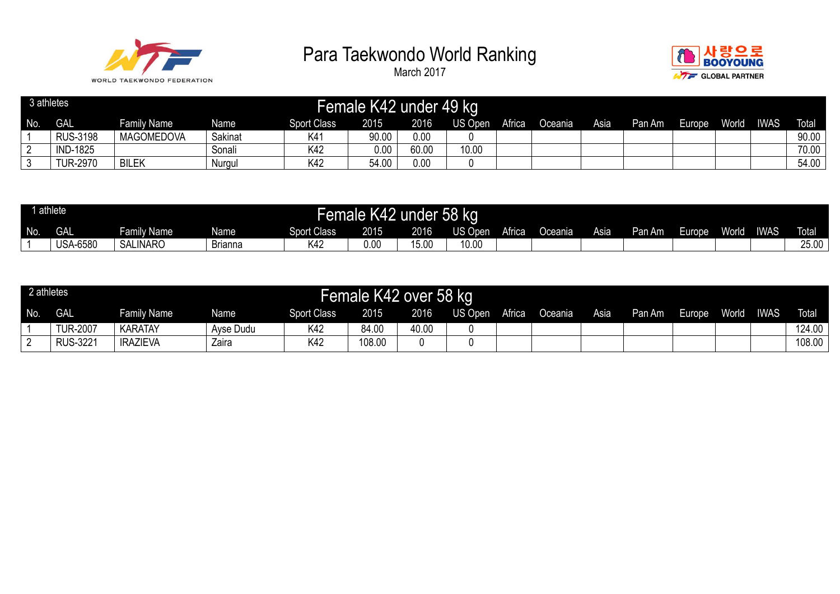



| 3 athletes |                 |                    |         |                    | Female K42 under 49 kg |       |         |        |         |      |        |        |              |             |              |
|------------|-----------------|--------------------|---------|--------------------|------------------------|-------|---------|--------|---------|------|--------|--------|--------------|-------------|--------------|
| No.        | <b>GAL</b>      | <b>Family Name</b> | Name    | <b>Sport Class</b> | 2015                   | 2016  | US Open | Africa | Oceania | Asia | Pan Am | Europe | <b>World</b> | <b>IWAS</b> | <b>Total</b> |
|            | <b>RUS-3198</b> | <b>MAGOMEDOVA</b>  | Sakinat | K41                | 90.00                  | 0.00  |         |        |         |      |        |        |              |             | 90.00        |
|            | <b>IND-1825</b> |                    | Sonali  | K42                | 0.00                   | 60.00 | 10.00   |        |         |      |        |        |              |             | 70.00        |
|            | <b>TUR-2970</b> | <b>BILEK</b>       | Nurgul  | K42                | 54.00                  | 0.00  |         |        |         |      |        |        |              |             | 54.00        |

| $\overline{1}$ | athlete         |                 |                                            |                    | Female K42 under 58 kg |       |         |        |         |      |        |        |              |             |              |
|----------------|-----------------|-----------------|--------------------------------------------|--------------------|------------------------|-------|---------|--------|---------|------|--------|--------|--------------|-------------|--------------|
| No.            | <b>GAL</b>      | Family Name     | Name                                       | <b>Sport Class</b> | 2015                   | 2016  | US Open | Africa | Oceania | Asia | Pan Am | Europe | <b>World</b> | <b>IWAS</b> | <b>Total</b> |
|                | <b>USA-6580</b> | <b>SALINARO</b> | $\overline{\phantom{0}}$<br><b>Brianna</b> | 〈42                | 0.00                   | 15.00 | 10.00   |        |         |      |        |        |              |             | 25.00        |

| 2 athletes |                 |                    |           |                    | Female K42 over 58 kg |       |         |        |         |      |        |        |       |             |              |
|------------|-----------------|--------------------|-----------|--------------------|-----------------------|-------|---------|--------|---------|------|--------|--------|-------|-------------|--------------|
| No.        | <b>GAL</b>      | <b>Family Name</b> | Name      | <b>Sport Class</b> | 2015                  | 2016  | US Open | Africa | Oceania | Asia | Pan Am | Europe | World | <b>IWAS</b> | <b>Total</b> |
|            | <b>TUR-2007</b> | <b>KARATAY</b>     | Ayse Dudu | K42                | 84.00                 | 40.00 |         |        |         |      |        |        |       |             | 124.00       |
|            | <b>RUS-3221</b> | <b>IRAZIEVA</b>    | Zaira     | K42                | 108.00                |       |         |        |         |      |        |        |       |             | 108.00       |